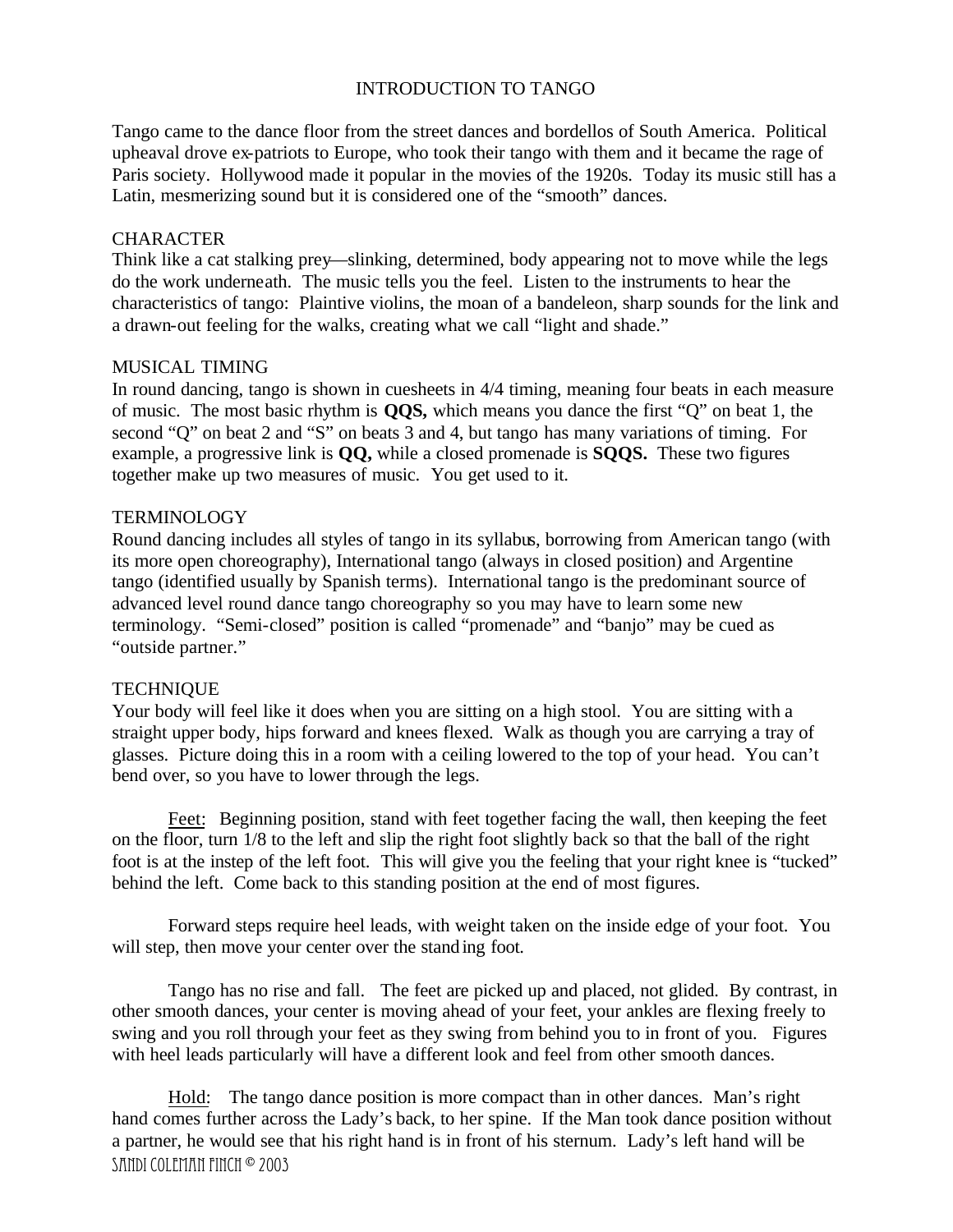# INTRODUCTION TO TANGO

Tango came to the dance floor from the street dances and bordellos of South America. Political upheaval drove ex-patriots to Europe, who took their tango with them and it became the rage of Paris society. Hollywood made it popular in the movies of the 1920s. Today its music still has a Latin, mesmerizing sound but it is considered one of the "smooth" dances.

# **CHARACTER**

Think like a cat stalking prey—slinking, determined, body appearing not to move while the legs do the work underneath. The music tells you the feel. Listen to the instruments to hear the characteristics of tango: Plaintive violins, the moan of a bandeleon, sharp sounds for the link and a drawn-out feeling for the walks, creating what we call "light and shade."

# MUSICAL TIMING

In round dancing, tango is shown in cuesheets in 4/4 timing, meaning four beats in each measure of music. The most basic rhythm is **QQS,** which means you dance the first "Q" on beat 1, the second "Q" on beat 2 and "S" on beats 3 and 4, but tango has many variations of timing. For example, a progressive link is **QQ,** while a closed promenade is **SQQS.** These two figures together make up two measures of music. You get used to it.

#### **TERMINOLOGY**

Round dancing includes all styles of tango in its syllabus, borrowing from American tango (with its more open choreography), International tango (always in closed position) and Argentine tango (identified usually by Spanish terms). International tango is the predominant source of advanced level round dance tango choreography so you may have to learn some new terminology. "Semi-closed" position is called "promenade" and "banjo" may be cued as "outside partner."

# **TECHNIQUE**

Your body will feel like it does when you are sitting on a high stool. You are sitting with a straight upper body, hips forward and knees flexed. Walk as though you are carrying a tray of glasses. Picture doing this in a room with a ceiling lowered to the top of your head. You can't bend over, so you have to lower through the legs.

Feet: Beginning position, stand with feet together facing the wall, then keeping the feet on the floor, turn 1/8 to the left and slip the right foot slightly back so that the ball of the right foot is at the instep of the left foot. This will give you the feeling that your right knee is "tucked" behind the left. Come back to this standing position at the end of most figures.

Forward steps require heel leads, with weight taken on the inside edge of your foot. You will step, then move your center over the standing foot.

Tango has no rise and fall. The feet are picked up and placed, not glided. By contrast, in other smooth dances, your center is moving ahead of your feet, your ankles are flexing freely to swing and you roll through your feet as they swing from behind you to in front of you. Figures with heel leads particularly will have a different look and feel from other smooth dances.

SANDI COLEMAN FINCH <sup>©</sup> 2003 Hold: The tango dance position is more compact than in other dances. Man's right hand comes further across the Lady's back, to her spine. If the Man took dance position without a partner, he would see that his right hand is in front of his sternum. Lady's left hand will be